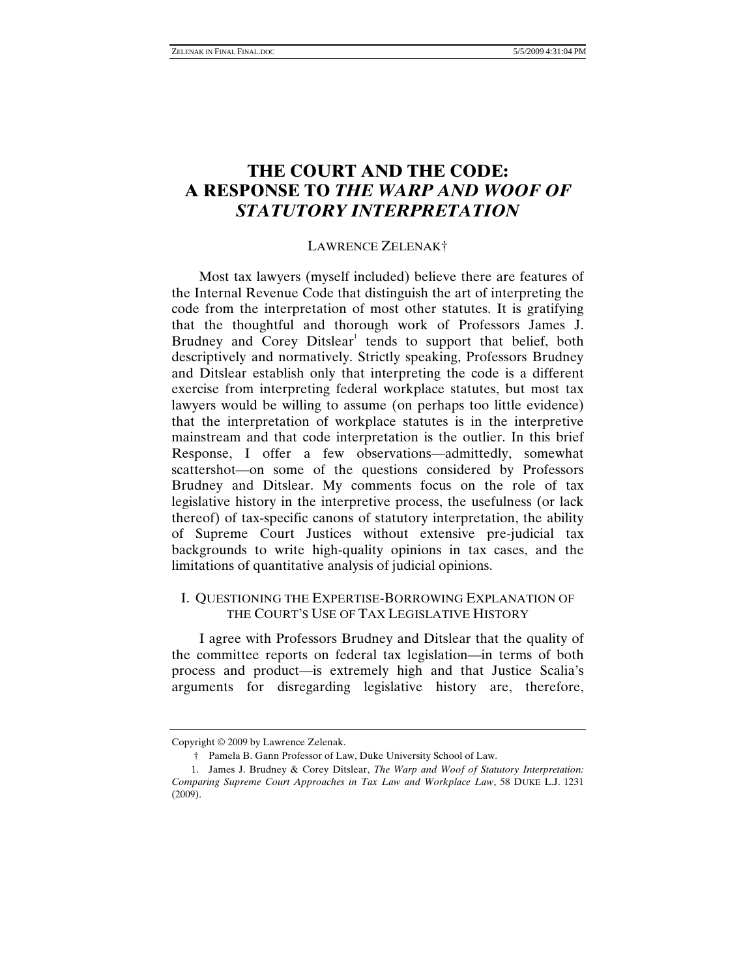# **THE COURT AND THE CODE: A RESPONSE TO** *THE WARP AND WOOF OF STATUTORY INTERPRETATION*

#### LAWRENCE ZELENAK†

Most tax lawyers (myself included) believe there are features of the Internal Revenue Code that distinguish the art of interpreting the code from the interpretation of most other statutes. It is gratifying that the thoughtful and thorough work of Professors James J. Brudney and Corey Ditslear<sup>1</sup> tends to support that belief, both descriptively and normatively. Strictly speaking, Professors Brudney and Ditslear establish only that interpreting the code is a different exercise from interpreting federal workplace statutes, but most tax lawyers would be willing to assume (on perhaps too little evidence) that the interpretation of workplace statutes is in the interpretive mainstream and that code interpretation is the outlier. In this brief Response, I offer a few observations—admittedly, somewhat scattershot—on some of the questions considered by Professors Brudney and Ditslear. My comments focus on the role of tax legislative history in the interpretive process, the usefulness (or lack thereof) of tax-specific canons of statutory interpretation, the ability of Supreme Court Justices without extensive pre-judicial tax backgrounds to write high-quality opinions in tax cases, and the limitations of quantitative analysis of judicial opinions.

### I. QUESTIONING THE EXPERTISE-BORROWING EXPLANATION OF THE COURT'S USE OF TAX LEGISLATIVE HISTORY

I agree with Professors Brudney and Ditslear that the quality of the committee reports on federal tax legislation—in terms of both process and product—is extremely high and that Justice Scalia's arguments for disregarding legislative history are, therefore,

Copyright © 2009 by Lawrence Zelenak.

 <sup>†</sup> Pamela B. Gann Professor of Law, Duke University School of Law.

 <sup>1.</sup> James J. Brudney & Corey Ditslear, *The Warp and Woof of Statutory Interpretation: Comparing Supreme Court Approaches in Tax Law and Workplace Law*, 58 DUKE L.J. 1231 (2009).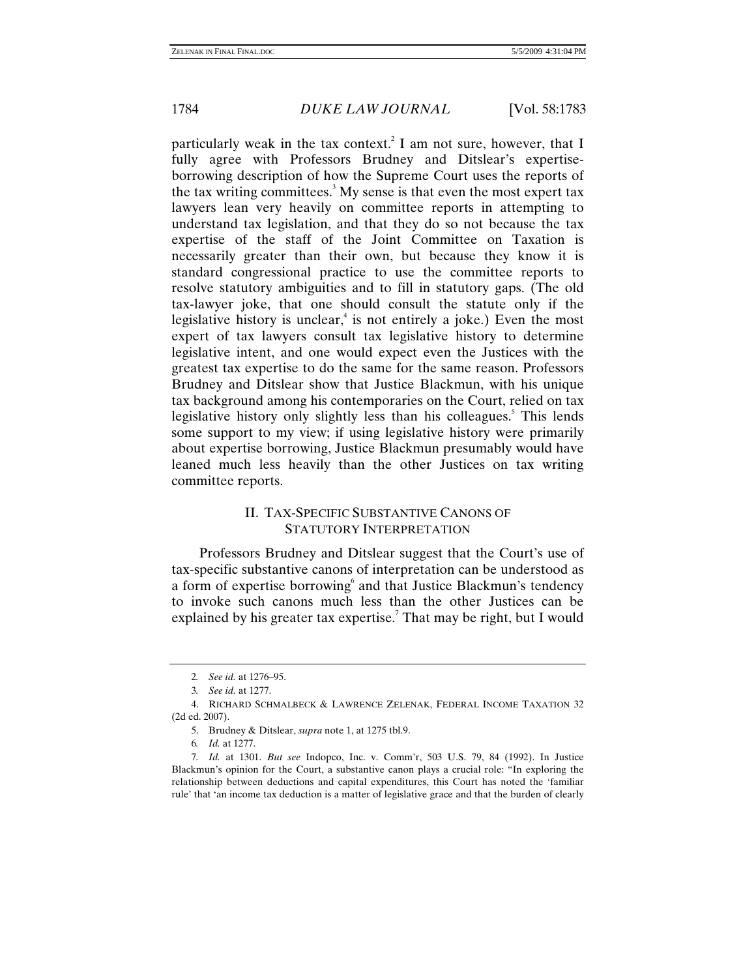particularly weak in the tax context.<sup>2</sup> I am not sure, however, that I fully agree with Professors Brudney and Ditslear's expertiseborrowing description of how the Supreme Court uses the reports of the tax writing committees.<sup>3</sup> My sense is that even the most expert tax lawyers lean very heavily on committee reports in attempting to understand tax legislation, and that they do so not because the tax expertise of the staff of the Joint Committee on Taxation is necessarily greater than their own, but because they know it is standard congressional practice to use the committee reports to resolve statutory ambiguities and to fill in statutory gaps. (The old tax-lawyer joke, that one should consult the statute only if the legislative history is unclear,<sup>4</sup> is not entirely a joke.) Even the most expert of tax lawyers consult tax legislative history to determine legislative intent, and one would expect even the Justices with the greatest tax expertise to do the same for the same reason. Professors Brudney and Ditslear show that Justice Blackmun, with his unique tax background among his contemporaries on the Court, relied on tax legislative history only slightly less than his colleagues.<sup>5</sup> This lends some support to my view; if using legislative history were primarily about expertise borrowing, Justice Blackmun presumably would have leaned much less heavily than the other Justices on tax writing committee reports.

### II. TAX-SPECIFIC SUBSTANTIVE CANONS OF STATUTORY INTERPRETATION

Professors Brudney and Ditslear suggest that the Court's use of tax-specific substantive canons of interpretation can be understood as a form of expertise borrowing<sup>6</sup> and that Justice Blackmun's tendency to invoke such canons much less than the other Justices can be explained by his greater tax expertise.<sup>7</sup> That may be right, but I would

<sup>2</sup>*. See id.* at 1276–95.

<sup>3</sup>*. See id.* at 1277.

 <sup>4.</sup> RICHARD SCHMALBECK & LAWRENCE ZELENAK, FEDERAL INCOME TAXATION 32 (2d ed. 2007).

 <sup>5.</sup> Brudney & Ditslear, *supra* note 1, at 1275 tbl.9.

<sup>6</sup>*. Id.* at 1277.

<sup>7</sup>*. Id.* at 1301. *But see* Indopco, Inc. v. Comm'r, 503 U.S. 79, 84 (1992). In Justice Blackmun's opinion for the Court, a substantive canon plays a crucial role: "In exploring the relationship between deductions and capital expenditures, this Court has noted the 'familiar rule' that 'an income tax deduction is a matter of legislative grace and that the burden of clearly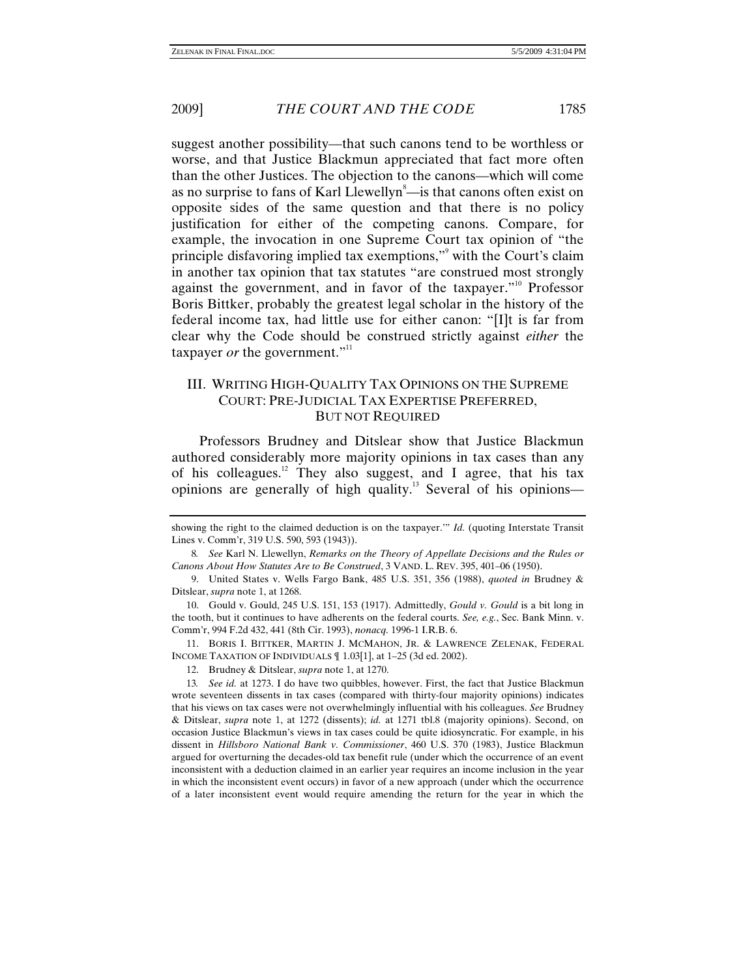suggest another possibility—that such canons tend to be worthless or worse, and that Justice Blackmun appreciated that fact more often than the other Justices. The objection to the canons—which will come as no surprise to fans of Karl Llewellyn<sup>8</sup>—is that canons often exist on opposite sides of the same question and that there is no policy justification for either of the competing canons. Compare, for example, the invocation in one Supreme Court tax opinion of "the principle disfavoring implied tax exemptions," with the Court's claim in another tax opinion that tax statutes "are construed most strongly against the government, and in favor of the taxpayer."<sup>10</sup> Professor Boris Bittker, probably the greatest legal scholar in the history of the federal income tax, had little use for either canon: "[I]t is far from clear why the Code should be construed strictly against *either* the taxpayer *or* the government."<sup>11</sup>

## III. WRITING HIGH-QUALITY TAX OPINIONS ON THE SUPREME COURT: PRE-JUDICIAL TAX EXPERTISE PREFERRED, BUT NOT REQUIRED

Professors Brudney and Ditslear show that Justice Blackmun authored considerably more majority opinions in tax cases than any of his colleagues.<sup>12</sup> They also suggest, and I agree, that his tax opinions are generally of high quality.13 Several of his opinions—

 11. BORIS I. BITTKER, MARTIN J. MCMAHON, JR. & LAWRENCE ZELENAK, FEDERAL INCOME TAXATION OF INDIVIDUALS ¶ 1.03[1], at 1–25 (3d ed. 2002).

showing the right to the claimed deduction is on the taxpayer.'" *Id.* (quoting Interstate Transit Lines v. Comm'r, 319 U.S. 590, 593 (1943)).

<sup>8</sup>*. See* Karl N. Llewellyn, *Remarks on the Theory of Appellate Decisions and the Rules or Canons About How Statutes Are to Be Construed*, 3 VAND. L. REV. 395, 401–06 (1950).

 <sup>9.</sup> United States v. Wells Fargo Bank, 485 U.S. 351, 356 (1988), *quoted in* Brudney & Ditslear, *supra* note 1, at 1268.

 <sup>10.</sup> Gould v. Gould, 245 U.S. 151, 153 (1917). Admittedly, *Gould v. Gould* is a bit long in the tooth, but it continues to have adherents on the federal courts. *See, e.g.*, Sec. Bank Minn. v. Comm'r, 994 F.2d 432, 441 (8th Cir. 1993), *nonacq.* 1996-1 I.R.B. 6.

 <sup>12.</sup> Brudney & Ditslear, *supra* note 1, at 1270.

<sup>13</sup>*. See id.* at 1273. I do have two quibbles, however. First, the fact that Justice Blackmun wrote seventeen dissents in tax cases (compared with thirty-four majority opinions) indicates that his views on tax cases were not overwhelmingly influential with his colleagues. *See* Brudney & Ditslear, *supra* note 1, at 1272 (dissents); *id.* at 1271 tbl.8 (majority opinions). Second, on occasion Justice Blackmun's views in tax cases could be quite idiosyncratic. For example, in his dissent in *Hillsboro National Bank v. Commissioner*, 460 U.S. 370 (1983), Justice Blackmun argued for overturning the decades-old tax benefit rule (under which the occurrence of an event inconsistent with a deduction claimed in an earlier year requires an income inclusion in the year in which the inconsistent event occurs) in favor of a new approach (under which the occurrence of a later inconsistent event would require amending the return for the year in which the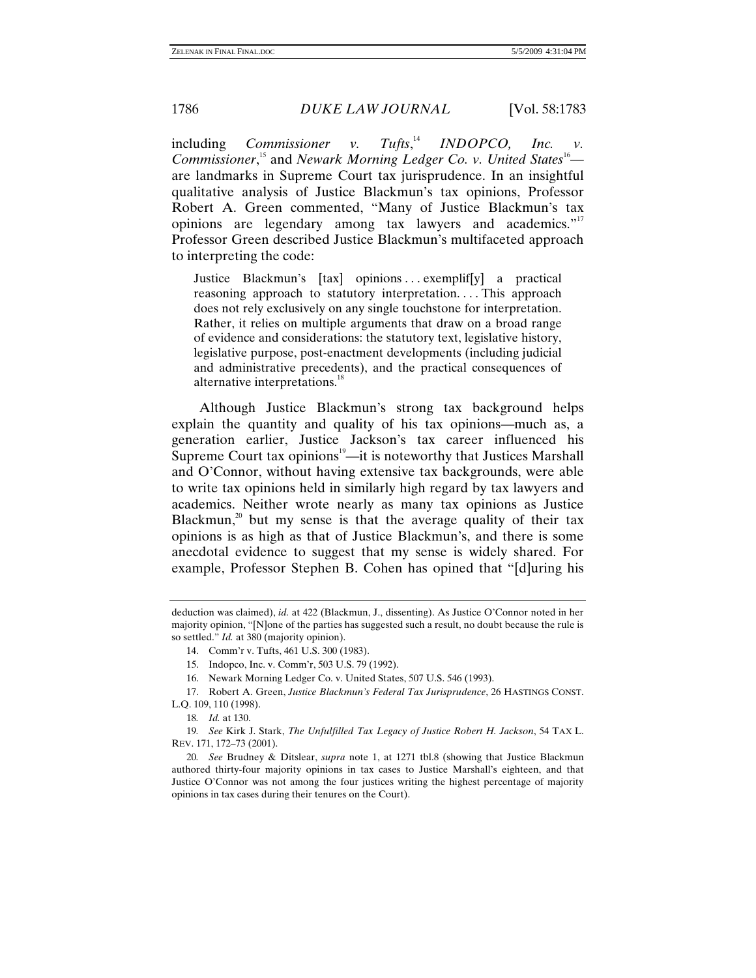*including <i>Commissioner v.* Tufts.<sup>14</sup> **INDOPCO**, Inc.  $\nu$ . Commissioner,<sup>15</sup> and *Newark Morning Ledger Co. v. United States*<sup>16</sup> are landmarks in Supreme Court tax jurisprudence. In an insightful qualitative analysis of Justice Blackmun's tax opinions, Professor Robert A. Green commented, "Many of Justice Blackmun's tax opinions are legendary among tax lawyers and academics."<sup>17</sup> Professor Green described Justice Blackmun's multifaceted approach to interpreting the code:

Justice Blackmun's [tax] opinions ... exemplif[y] a practical reasoning approach to statutory interpretation.... This approach does not rely exclusively on any single touchstone for interpretation. Rather, it relies on multiple arguments that draw on a broad range of evidence and considerations: the statutory text, legislative history, legislative purpose, post-enactment developments (including judicial and administrative precedents), and the practical consequences of alternative interpretations.<sup>18</sup>

Although Justice Blackmun's strong tax background helps explain the quantity and quality of his tax opinions—much as, a generation earlier, Justice Jackson's tax career influenced his Supreme Court tax opinions $19$ —it is noteworthy that Justices Marshall and O'Connor, without having extensive tax backgrounds, were able to write tax opinions held in similarly high regard by tax lawyers and academics. Neither wrote nearly as many tax opinions as Justice Blackmun,<sup>20</sup> but my sense is that the average quality of their tax opinions is as high as that of Justice Blackmun's, and there is some anecdotal evidence to suggest that my sense is widely shared. For example, Professor Stephen B. Cohen has opined that "[d]uring his

deduction was claimed), *id.* at 422 (Blackmun, J., dissenting). As Justice O'Connor noted in her majority opinion, "[N]one of the parties has suggested such a result, no doubt because the rule is so settled." *Id.* at 380 (majority opinion).

 <sup>14.</sup> Comm'r v. Tufts, 461 U.S. 300 (1983).

 <sup>15.</sup> Indopco, Inc. v. Comm'r, 503 U.S. 79 (1992).

 <sup>16.</sup> Newark Morning Ledger Co. v. United States, 507 U.S. 546 (1993).

 <sup>17.</sup> Robert A. Green, *Justice Blackmun's Federal Tax Jurisprudence*, 26 HASTINGS CONST. L.Q. 109, 110 (1998).

<sup>18</sup>*. Id.* at 130.

<sup>19</sup>*. See* Kirk J. Stark, *The Unfulfilled Tax Legacy of Justice Robert H. Jackson*, 54 TAX L. REV. 171, 172–73 (2001).

<sup>20</sup>*. See* Brudney & Ditslear, *supra* note 1, at 1271 tbl.8 (showing that Justice Blackmun authored thirty-four majority opinions in tax cases to Justice Marshall's eighteen, and that Justice O'Connor was not among the four justices writing the highest percentage of majority opinions in tax cases during their tenures on the Court).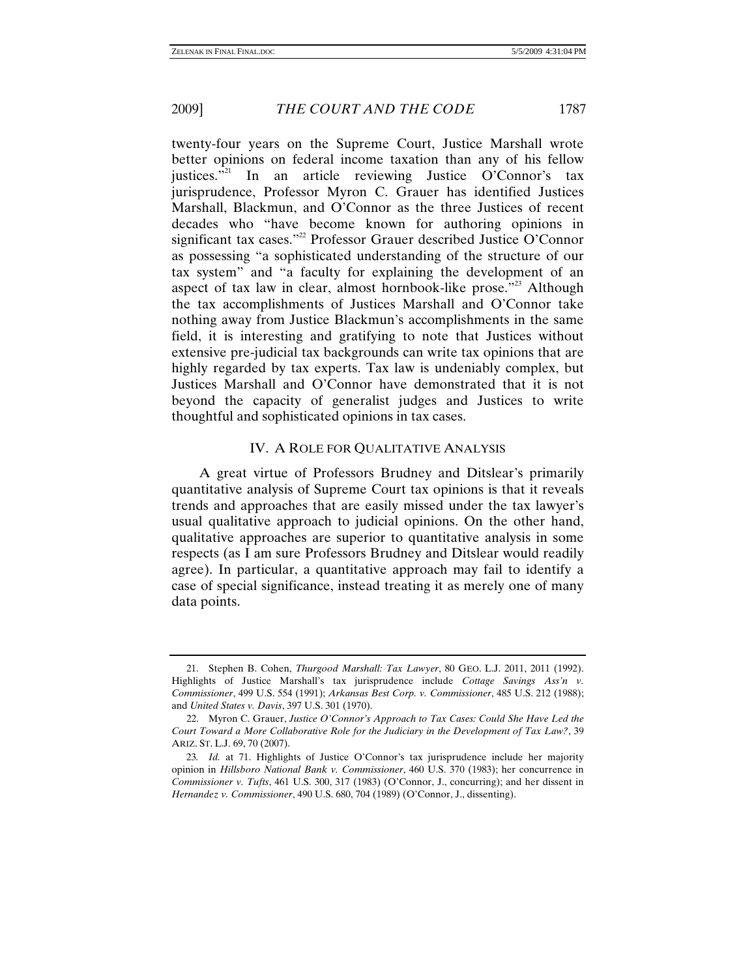twenty-four years on the Supreme Court, Justice Marshall wrote better opinions on federal income taxation than any of his fellow justices."<sup>21</sup> In an article reviewing Justice O'Connor's tax jurisprudence, Professor Myron C. Grauer has identified Justices Marshall, Blackmun, and O'Connor as the three Justices of recent decades who "have become known for authoring opinions in significant tax cases."<sup>22</sup> Professor Grauer described Justice O'Connor as possessing "a sophisticated understanding of the structure of our tax system" and "a faculty for explaining the development of an aspect of tax law in clear, almost hornbook-like prose."<sup>23</sup> Although the tax accomplishments of Justices Marshall and O'Connor take nothing away from Justice Blackmun's accomplishments in the same field, it is interesting and gratifying to note that Justices without extensive pre-judicial tax backgrounds can write tax opinions that are highly regarded by tax experts. Tax law is undeniably complex, but Justices Marshall and O'Connor have demonstrated that it is not beyond the capacity of generalist judges and Justices to write thoughtful and sophisticated opinions in tax cases.

#### IV. A ROLE FOR QUALITATIVE ANALYSIS

A great virtue of Professors Brudney and Ditslear's primarily quantitative analysis of Supreme Court tax opinions is that it reveals trends and approaches that are easily missed under the tax lawyer's usual qualitative approach to judicial opinions. On the other hand, qualitative approaches are superior to quantitative analysis in some respects (as I am sure Professors Brudney and Ditslear would readily agree). In particular, a quantitative approach may fail to identify a case of special significance, instead treating it as merely one of many data points.

 <sup>21.</sup> Stephen B. Cohen, *Thurgood Marshall: Tax Lawyer*, 80 GEO. L.J. 2011, 2011 (1992). Highlights of Justice Marshall's tax jurisprudence include *Cottage Savings Ass'n v. Commissioner*, 499 U.S. 554 (1991); *Arkansas Best Corp. v. Commissioner*, 485 U.S. 212 (1988); and *United States v. Davis*, 397 U.S. 301 (1970).

 <sup>22.</sup> Myron C. Grauer, *Justice O'Connor's Approach to Tax Cases: Could She Have Led the Court Toward a More Collaborative Role for the Judiciary in the Development of Tax Law?*, 39 ARIZ. ST. L.J. 69, 70 (2007).

<sup>23</sup>*. Id.* at 71. Highlights of Justice O'Connor's tax jurisprudence include her majority opinion in *Hillsboro National Bank v. Commissioner*, 460 U.S. 370 (1983); her concurrence in *Commissioner v. Tufts*, 461 U.S. 300, 317 (1983) (O'Connor, J., concurring); and her dissent in *Hernandez v. Commissioner*, 490 U.S. 680, 704 (1989) (O'Connor, J., dissenting).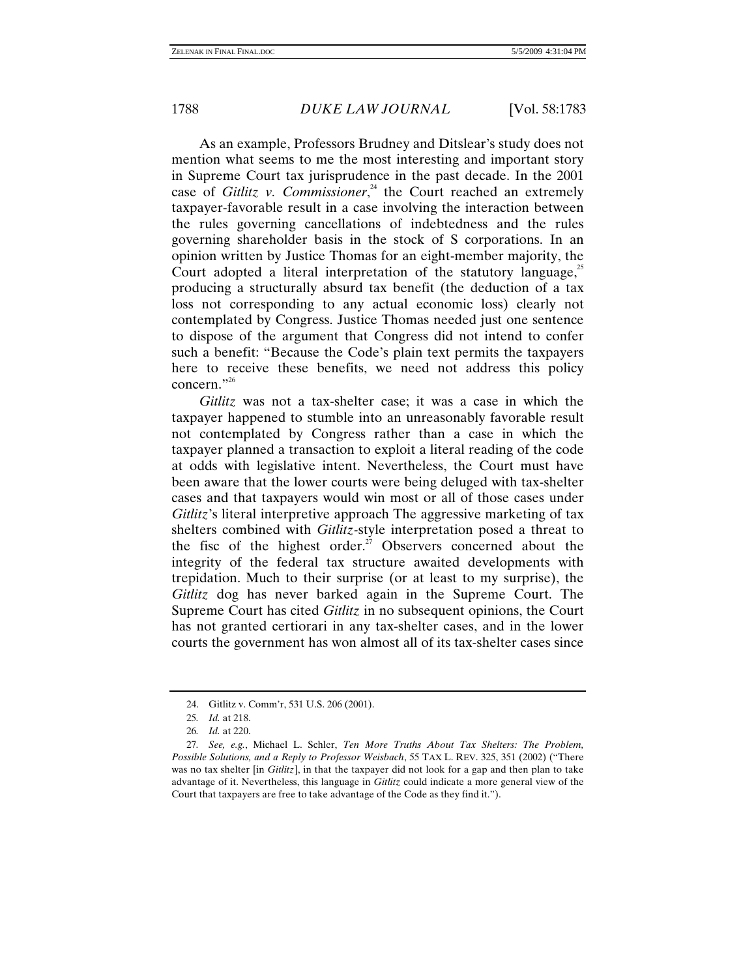As an example, Professors Brudney and Ditslear's study does not mention what seems to me the most interesting and important story in Supreme Court tax jurisprudence in the past decade. In the 2001 case of *Gitlitz v. Commissioner*,<sup> $24$ </sup> the Court reached an extremely taxpayer-favorable result in a case involving the interaction between the rules governing cancellations of indebtedness and the rules governing shareholder basis in the stock of S corporations. In an opinion written by Justice Thomas for an eight-member majority, the Court adopted a literal interpretation of the statutory language.<sup>25</sup> producing a structurally absurd tax benefit (the deduction of a tax loss not corresponding to any actual economic loss) clearly not contemplated by Congress. Justice Thomas needed just one sentence to dispose of the argument that Congress did not intend to confer such a benefit: "Because the Code's plain text permits the taxpayers here to receive these benefits, we need not address this policy concern." $^{26}$ 

*Gitlitz* was not a tax-shelter case; it was a case in which the taxpayer happened to stumble into an unreasonably favorable result not contemplated by Congress rather than a case in which the taxpayer planned a transaction to exploit a literal reading of the code at odds with legislative intent. Nevertheless, the Court must have been aware that the lower courts were being deluged with tax-shelter cases and that taxpayers would win most or all of those cases under *Gitlitz*'s literal interpretive approach The aggressive marketing of tax shelters combined with *Gitlitz-*style interpretation posed a threat to the fisc of the highest order.<sup>27</sup> Observers concerned about the integrity of the federal tax structure awaited developments with trepidation. Much to their surprise (or at least to my surprise), the *Gitlitz* dog has never barked again in the Supreme Court. The Supreme Court has cited *Gitlitz* in no subsequent opinions, the Court has not granted certiorari in any tax-shelter cases, and in the lower courts the government has won almost all of its tax-shelter cases since

 <sup>24.</sup> Gitlitz v. Comm'r, 531 U.S. 206 (2001).

<sup>25</sup>*. Id.* at 218.

<sup>26</sup>*. Id.* at 220.

<sup>27</sup>*. See, e.g.*, Michael L. Schler, *Ten More Truths About Tax Shelters: The Problem, Possible Solutions, and a Reply to Professor Weisbach*, 55 TAX L. REV. 325, 351 (2002) ("There was no tax shelter [in *Gitlitz*], in that the taxpayer did not look for a gap and then plan to take advantage of it. Nevertheless, this language in *Gitlitz* could indicate a more general view of the Court that taxpayers are free to take advantage of the Code as they find it.").